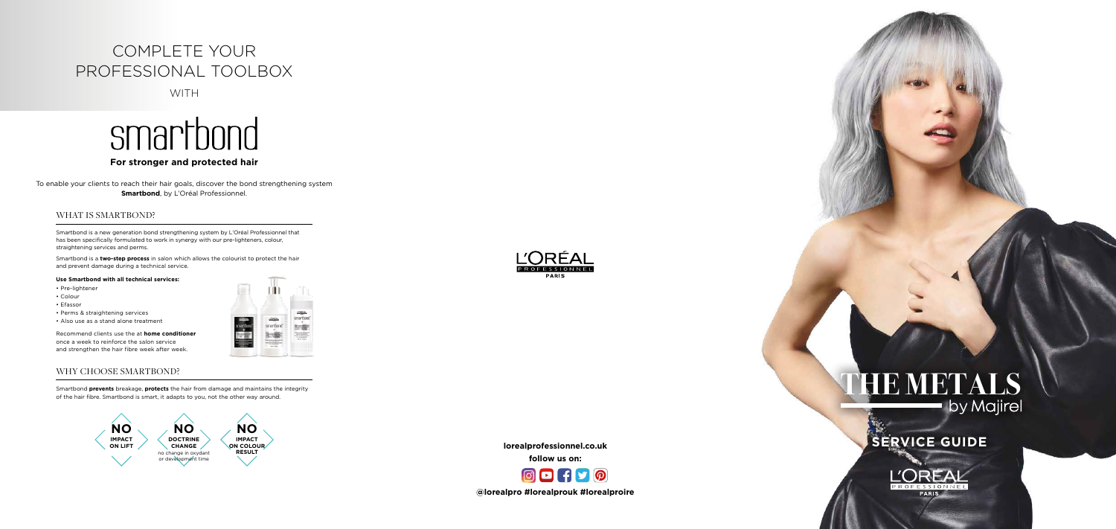**SERVICE GUIDE**

**THE METALS** by Majirel



## **lorealprofessionnel.co.uk follow us on:**



### WHY CHOOSE SMARTBOND?

Smartbond **prevents** breakage, **protects** the hair from damage and maintains the integrity of the hair fibre. Smartbond is smart, it adapts to you, not the other way around.

 $\begin{array}{c}\n\hline\n\text{loop}\n\\ \text{unorthon} \\
\hline\n\end{array}$ 

Mar et solicite doctions<br>Ann am San (Margin)<br>The solicity of the<br>Third of Market

 $\begin{array}{c} \mathsf{smart}\mathsf{bond}^*\\ \bullet\\ \hline \end{array}$ 

**TAX AND** 

WITH

# smartbond

### **For stronger and protected hair**

To enable your clients to reach their hair goals, discover the bond strengthening system **Smartbond**, by L'Oréal Professionnel.

### WHAT IS SMARTBOND?

Smartbond is a new generation bond strengthening system by L'Oréal Professionnel that has been specifically formulated to work in synergy with our pre-lighteners, colour, straightening services and perms.

Smartbond is a **two-step process** in salon which allows the colourist to protect the hair and prevent damage during a technical service.

#### **Use Smartbond with all technical services:**

- Pre-lightener
- Colour
- Efassor
- Perms & straightening services
- Also use as a stand alone treatment

Recommend clients use the at **home conditioner** once a week to reinforce the salon service and strengthen the hair fibre week after week.





## COMPLETE YOUR PROFESSIONAL TOOLBOX